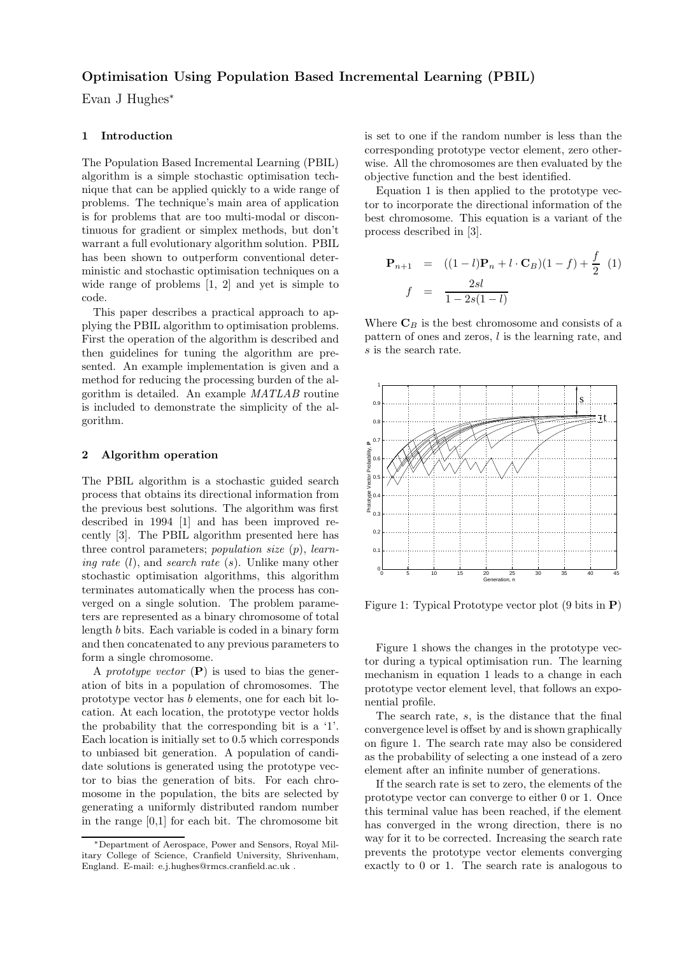# Optimisation Using Population Based Incremental Learning (PBIL)

Evan J Hughes<sup>∗</sup>

# 1 Introduction

The Population Based Incremental Learning (PBIL) algorithm is a simple stochastic optimisation technique that can be applied quickly to a wide range of problems. The technique's main area of application is for problems that are too multi-modal or discontinuous for gradient or simplex methods, but don't warrant a full evolutionary algorithm solution. PBIL has been shown to outperform conventional deterministic and stochastic optimisation techniques on a wide range of problems [1, 2] and yet is simple to code.

This paper describes a practical approach to applying the PBIL algorithm to optimisation problems. First the operation of the algorithm is described and then guidelines for tuning the algorithm are presented. An example implementation is given and a method for reducing the processing burden of the algorithm is detailed. An example *MATLAB* routine is included to demonstrate the simplicity of the algorithm.

# 2 Algorithm operation

The PBIL algorithm is a stochastic guided search process that obtains its directional information from the previous best solutions. The algorithm was first described in 1994 [1] and has been improved recently [3]. The PBIL algorithm presented here has three control parameters; *population size* (p), *learning rate* (l), and *search rate* (s). Unlike many other stochastic optimisation algorithms, this algorithm terminates automatically when the process has converged on a single solution. The problem parameters are represented as a binary chromosome of total length b bits. Each variable is coded in a binary form and then concatenated to any previous parameters to form a single chromosome.

A *prototype vector* (P) is used to bias the generation of bits in a population of chromosomes. The prototype vector has b elements, one for each bit location. At each location, the prototype vector holds the probability that the corresponding bit is a '1'. Each location is initially set to 0.5 which corresponds to unbiased bit generation. A population of candidate solutions is generated using the prototype vector to bias the generation of bits. For each chromosome in the population, the bits are selected by generating a uniformly distributed random number in the range [0,1] for each bit. The chromosome bit

is set to one if the random number is less than the corresponding prototype vector element, zero otherwise. All the chromosomes are then evaluated by the objective function and the best identified.

Equation 1 is then applied to the prototype vector to incorporate the directional information of the best chromosome. This equation is a variant of the process described in [3].

$$
\mathbf{P}_{n+1} = ((1-l)\mathbf{P}_n + l \cdot \mathbf{C}_B)(1-f) + \frac{f}{2} (1)
$$
  

$$
f = \frac{2sl}{1-2s(1-l)}
$$

Where  $\mathbf{C}_B$  is the best chromosome and consists of a pattern of ones and zeros, l is the learning rate, and s is the search rate.



Figure 1: Typical Prototype vector plot (9 bits in P)

Figure 1 shows the changes in the prototype vector during a typical optimisation run. The learning mechanism in equation 1 leads to a change in each prototype vector element level, that follows an exponential profile.

The search rate, s, is the distance that the final convergence level is offset by and is shown graphically on figure 1. The search rate may also be considered as the probability of selecting a one instead of a zero element after an infinite number of generations.

If the search rate is set to zero, the elements of the prototype vector can converge to either 0 or 1. Once this terminal value has been reached, if the element has converged in the wrong direction, there is no way for it to be corrected. Increasing the search rate prevents the prototype vector elements converging exactly to 0 or 1. The search rate is analogous to

<sup>∗</sup>Department of Aerospace, Power and Sensors, Royal Military College of Science, Cranfield University, Shrivenham, England. E-mail: e.j.hughes@rmcs.cranfield.ac.uk .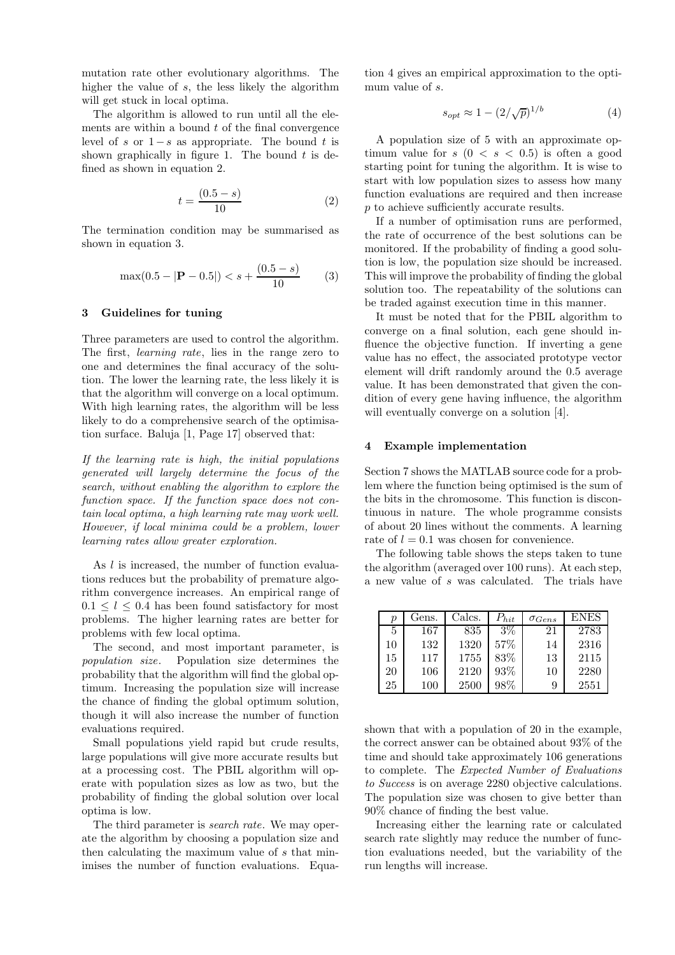mutation rate other evolutionary algorithms. The higher the value of s, the less likely the algorithm will get stuck in local optima.

The algorithm is allowed to run until all the elements are within a bound  $t$  of the final convergence level of s or  $1-s$  as appropriate. The bound t is shown graphically in figure 1. The bound  $t$  is defined as shown in equation 2.

$$
t = \frac{(0.5 - s)}{10} \tag{2}
$$

The termination condition may be summarised as shown in equation 3.

$$
\max(0.5 - |\mathbf{P} - 0.5|) < s + \frac{(0.5 - s)}{10} \tag{3}
$$

#### 3 Guidelines for tuning

Three parameters are used to control the algorithm. The first, *learning rate*, lies in the range zero to one and determines the final accuracy of the solution. The lower the learning rate, the less likely it is that the algorithm will converge on a local optimum. With high learning rates, the algorithm will be less likely to do a comprehensive search of the optimisation surface. Baluja [1, Page 17] observed that:

*If the learning rate is high, the initial populations generated will largely determine the focus of the search, without enabling the algorithm to explore the function space. If the function space does not contain local optima, a high learning rate may work well. However, if local minima could be a problem, lower learning rates allow greater exploration.*

As *l* is increased, the number of function evaluations reduces but the probability of premature algorithm convergence increases. An empirical range of  $0.1 \leq l \leq 0.4$  has been found satisfactory for most problems. The higher learning rates are better for problems with few local optima.

The second, and most important parameter, is *population size*. Population size determines the probability that the algorithm will find the global optimum. Increasing the population size will increase the chance of finding the global optimum solution, though it will also increase the number of function evaluations required.

Small populations yield rapid but crude results, large populations will give more accurate results but at a processing cost. The PBIL algorithm will operate with population sizes as low as two, but the probability of finding the global solution over local optima is low.

The third parameter is *search rate*. We may operate the algorithm by choosing a population size and then calculating the maximum value of s that minimises the number of function evaluations. Equation 4 gives an empirical approximation to the optimum value of s.

$$
s_{opt} \approx 1 - \left(2/\sqrt{p}\right)^{1/b} \tag{4}
$$

A population size of 5 with an approximate optimum value for  $s(0 \lt s \lt 0.5)$  is often a good starting point for tuning the algorithm. It is wise to start with low population sizes to assess how many function evaluations are required and then increase  $p$  to achieve sufficiently accurate results.

If a number of optimisation runs are performed, the rate of occurrence of the best solutions can be monitored. If the probability of finding a good solution is low, the population size should be increased. This will improve the probability of finding the global solution too. The repeatability of the solutions can be traded against execution time in this manner.

It must be noted that for the PBIL algorithm to converge on a final solution, each gene should influence the objective function. If inverting a gene value has no effect, the associated prototype vector element will drift randomly around the 0.5 average value. It has been demonstrated that given the condition of every gene having influence, the algorithm will eventually converge on a solution [4].

#### 4 Example implementation

Section 7 shows the MATLAB source code for a problem where the function being optimised is the sum of the bits in the chromosome. This function is discontinuous in nature. The whole programme consists of about 20 lines without the comments. A learning rate of  $l = 0.1$  was chosen for convenience.

The following table shows the steps taken to tune the algorithm (averaged over 100 runs). At each step, a new value of s was calculated. The trials have

| $\boldsymbol{p}$ | Gens.   | Calcs. | $P_{hit}$ | $\sigma_{Gens}$ | ENES |
|------------------|---------|--------|-----------|-----------------|------|
| 5                | 167     | 835    | $3\%$     | 21              | 2783 |
| 10               | 132     | 1320   | 57%       | 14              | 2316 |
| 15               | 117     | 1755   | 83%       | 13              | 2115 |
| 20               | 106     | 2120   | 93%       | 10              | 2280 |
| 25               | $100\,$ | 2500   | 98%       | 9               | 2551 |

shown that with a population of 20 in the example, the correct answer can be obtained about 93% of the time and should take approximately 106 generations to complete. The *Expected Number of Evaluations to Success* is on average 2280 objective calculations. The population size was chosen to give better than 90% chance of finding the best value.

Increasing either the learning rate or calculated search rate slightly may reduce the number of function evaluations needed, but the variability of the run lengths will increase.